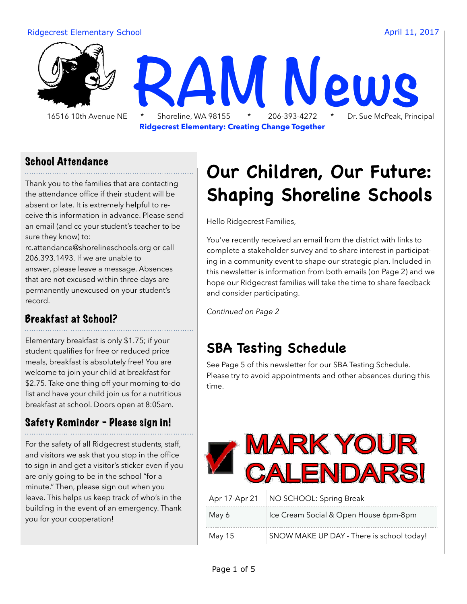#### Ridgecrest Elementary School **April 11, 2017 April 11, 2017**

 16516 10th Avenue NE \* Shoreline, WA 98155 \* 206-393-4272 \* Dr. Sue McPeak, Principal **RAM News** 

**Ridgecrest Elementary: Creating Change Together**

#### School Attendance

Thank you to the families that are contacting the attendance office if their student will be absent or late. It is extremely helpful to receive this information in advance. Please send an email (and cc your student's teacher to be sure they know) to:

[rc.attendance@shorelineschools.org](mailto:rc.attendance@shorelineschools.org) or call 206.393.1493. If we are unable to answer, please leave a message. Absences that are not excused within three days are permanently unexcused on your student's record.

#### Breakfast at School?

Elementary breakfast is only \$1.75; if your student qualifies for free or reduced price meals, breakfast is absolutely free! You are welcome to join your child at breakfast for \$2.75. Take one thing off your morning to-do list and have your child join us for a nutritious breakfast at school. Doors open at 8:05am.

#### Safety Reminder - Please sign in!

For the safety of all Ridgecrest students, staff, and visitors we ask that you stop in the office to sign in and get a visitor's sticker even if you are only going to be in the school "for a minute." Then, please sign out when you leave. This helps us keep track of who's in the building in the event of an emergency. Thank you for your cooperation!

## **Our Children, Our Future: Shaping Shoreline Schools**

Hello Ridgecrest Families,

You've recently received an email from the district with links to complete a stakeholder survey and to share interest in participating in a community event to shape our strategic plan. Included in this newsletter is information from both emails (on Page 2) and we hope our Ridgecrest families will take the time to share feedback and consider participating.

*Continued on Page 2*

### **SBA Testing Schedule**

See Page 5 of this newsletter for our SBA Testing Schedule. Please try to avoid appointments and other absences during this time.



| Apr 17-Apr 21 | NO SCHOOL: Spring Break                   |
|---------------|-------------------------------------------|
| May 6         | Ice Cream Social & Open House 6pm-8pm     |
| May 15        | SNOW MAKE UP DAY - There is school today! |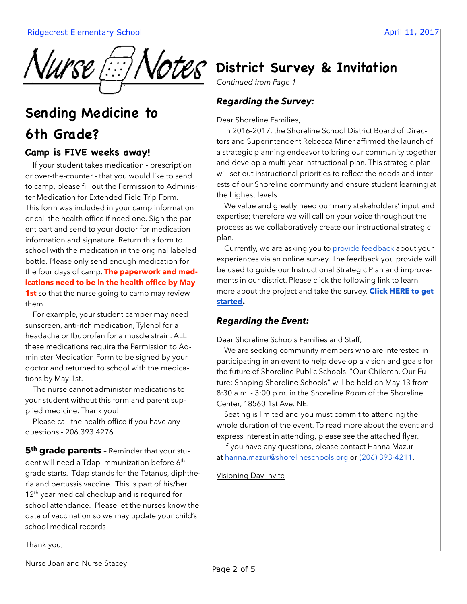

## **Sending Medicine to 6th Grade?**

#### **Camp is FIVE weeks away!**

 If your student takes medication - prescription or over-the-counter - that you would like to send to camp, please fill out the Permission to Administer Medication for Extended Field Trip Form. This form was included in your camp information or call the health office if need one. Sign the parent part and send to your doctor for medication information and signature. Return this form to school with the medication in the original labeled bottle. Please only send enough medication for the four days of camp. **The paperwork and medications need to be in the health office by May 1st** so that the nurse going to camp may review them.

 For example, your student camper may need sunscreen, anti-itch medication, Tylenol for a headache or Ibuprofen for a muscle strain. ALL these medications require the Permission to Administer Medication Form to be signed by your doctor and returned to school with the medications by May 1st.

 The nurse cannot administer medications to your student without this form and parent supplied medicine. Thank you!

Please call the health office if you have any questions - 206.393.4276

**5<sup>th</sup> grade parents** - Reminder that your student will need a Tdap immunization before 6<sup>th</sup> grade starts. Tdap stands for the Tetanus, diphtheria and pertussis vaccine. This is part of his/her 12<sup>th</sup> year medical checkup and is required for school attendance. Please let the nurses know the date of vaccination so we may update your child's school medical records

Thank you,

## $\sqrt{otes}$  District Survey & Invitation

*Continued from Page 1* 

#### *Regarding the Survey:*

Dear Shoreline Families,

 In 2016-2017, the Shoreline School District Board of Directors and Superintendent Rebecca Miner affirmed the launch of a strategic planning endeavor to bring our community together and develop a multi-year instructional plan. This strategic plan will set out instructional priorities to reflect the needs and interests of our Shoreline community and ensure student learning at the highest levels.

 We value and greatly need our many stakeholders' input and expertise; therefore we will call on your voice throughout the process as we collaboratively create our instructional strategic plan.

 Currently, we are asking you to [provide feedback](http://track.spe.schoolmessenger.com/f/a/1RLQ8ShX_YpYtLpIzHyUCw~~/AAAAAQA~/RgRazMSZP0EIAKxzRmzDSYdXB3NjaG9vbG1YBAAAAABCCgACGZHrWCOvTv1SGWphbmluYS5wYWN1bnNraUBnbWFpbC5jb20JUQQAAAAAhIcCaHR0cDovL3RyYWNrLnNwZS5zY2hvb2xtZXNzZW5nZXIuY29tL2YvYS9NSFpDYko4ZGdVLW55WU5CVWExbWVBfn4vQUFBQUFRQX4vUmdSYXZXcHdQMEVJQU94aGpWTENXbDlYQjNOamFHOXZiRzFZQkFBQUFBQkNDZ0FEOERiY1dOQnZBWGxTSDI1NWJHRXVabkpwZEhwQWMyaHZjbVZzYVc1bGMyTm9iMjlzY3k1dmNtY0pVUVFBQUFBQVJLeG9kSFJ3T2k4dmQzZDNMbk5vYjNKbGJHbHVaWE5qYUc5dmJITXViM0puTDNOcGRHVXZaR1ZtWVhWc2RDNWhjM0I0UDFCaFoyVlVlWEJsUFRNbVJHOXRZV2x1U1VROU5DWk5iMlIxYkdWSmJuTjBZVzVqWlVsRVBUSTJKbFpwWlhkSlJEMDJORFEyUlVVNE9DMUVNekJETFRRNU4wVXRPVE14TmkwelJqZzROelJDTTBVeE1EZ21VbVZ1WkdWeVRHOWpQVEFtUm14bGVFUmhkR0ZKUkQwNE56UTBKbEJoWjJWSlJEMHhSNmw3SW5WelpYSnBaQ0k2SWpJd0lpd2ljMmhoY21ScFpDSTZJakVpTENKamRYTjBiMjFsY21sa0lqb2lOVEF3SWl3aVpXNTJJam9pY0hKdlpDSXNJbXB2WW1sa0lqb2lNVGsyTlRFaUxDSmxiV0ZwYkZOdmRYSmpaU0k2SWtOVlUxUlBUVVZTWDBwUFFpSXNJbkJsY25OdmJtbGtJam9pTkRBeU56RWlMQ0p6Wlc1MFZHbHRaVTF6SWpvaU1UUTVNRGd5TlRVM01qWTVOaUlzSW5ObGNYVmxibU5sSWpvaU1DSjlHqnsicGVyc29uaWQiOiIyODUyNyIsInNlbnRUaW1lTXMiOiIxNDkxODMzMTA4MjE5Iiwiam9iaWQiOiIxOTc2NSIsImVtYWlsU291cmNlIjoiQ1VTVE9NRVJfSk9CIiwiY3VzdG9tZXJpZCI6IjUwMCIsImVudiI6InByb2QiLCJzZXF1ZW5jZSI6IjEiLCJ1c2VyaWQiOiIxMjAiLCJzaGFyZGlkIjoiMSJ9) about your experiences via an online survey. The feedback you provide will be used to guide our Instructional Strategic Plan and improvements in our district. Please click the following link to learn more about the project and take the survey. **[Click HERE to get](http://track.spe.schoolmessenger.com/f/a/aYo4z2s7Yens2pUaLl97iw~~/AAAAAQA~/RgRazMSZP0EIAKxzRmzDSYdXB3NjaG9vbG1YBAAAAABCCgACGZHrWCOvTv1SGWphbmluYS5wYWN1bnNraUBnbWFpbC5jb20JUQQAAAAARKxodHRwOi8vd3d3LnNob3JlbGluZXNjaG9vbHMub3JnL3NpdGUvZGVmYXVsdC5hc3B4P1BhZ2VUeXBlPTMmRG9tYWluSUQ9NCZNb2R1bGVJbnN0YW5jZUlEPTI2JlZpZXdJRD02NDQ2RUU4OC1EMzBDLTQ5N0UtOTMxNi0zRjg4NzRCM0UxMDgmUmVuZGVyTG9jPTAmRmxleERhdGFJRD04NzQ0JlBhZ2VJRD0xR6p7ImVudiI6InByb2QiLCJjdXN0b21lcmlkIjoiNTAwIiwiZW1haWxTb3VyY2UiOiJDVVNUT01FUl9KT0IiLCJwZXJzb25pZCI6IjI4NTI3Iiwic2hhcmRpZCI6IjEiLCJzZXF1ZW5jZSI6IjEiLCJqb2JpZCI6IjE5NzY1IiwidXNlcmlkIjoiMTIwIiwic2VudFRpbWVNcyI6IjE0OTE4MzMxMDgyMTkifQ~~)  [started](http://track.spe.schoolmessenger.com/f/a/aYo4z2s7Yens2pUaLl97iw~~/AAAAAQA~/RgRazMSZP0EIAKxzRmzDSYdXB3NjaG9vbG1YBAAAAABCCgACGZHrWCOvTv1SGWphbmluYS5wYWN1bnNraUBnbWFpbC5jb20JUQQAAAAARKxodHRwOi8vd3d3LnNob3JlbGluZXNjaG9vbHMub3JnL3NpdGUvZGVmYXVsdC5hc3B4P1BhZ2VUeXBlPTMmRG9tYWluSUQ9NCZNb2R1bGVJbnN0YW5jZUlEPTI2JlZpZXdJRD02NDQ2RUU4OC1EMzBDLTQ5N0UtOTMxNi0zRjg4NzRCM0UxMDgmUmVuZGVyTG9jPTAmRmxleERhdGFJRD04NzQ0JlBhZ2VJRD0xR6p7ImVudiI6InByb2QiLCJjdXN0b21lcmlkIjoiNTAwIiwiZW1haWxTb3VyY2UiOiJDVVNUT01FUl9KT0IiLCJwZXJzb25pZCI6IjI4NTI3Iiwic2hhcmRpZCI6IjEiLCJzZXF1ZW5jZSI6IjEiLCJqb2JpZCI6IjE5NzY1IiwidXNlcmlkIjoiMTIwIiwic2VudFRpbWVNcyI6IjE0OTE4MzMxMDgyMTkifQ~~).**

#### *Regarding the Event:*

Dear Shoreline Schools Families and Staff,

 We are seeking community members who are interested in participating in an event to help develop a vision and goals for the future of Shoreline Public Schools. "Our Children, Our Future: Shaping Shoreline Schools" will be held on May 13 from 8:30 a.m. - 3:00 p.m. in the Shoreline Room of the Shoreline Center, 18560 1st Ave. NE.

 Seating is limited and you must commit to attending the whole duration of the event. To read more about the event and express interest in attending, please see the attached flyer.

 If you have any questions, please contact Hanna Mazur at [hanna.mazur@shorelineschools.org](mailto:hanna.mazur@shorelineschools.org) or (206) 393-4211.

#### [Visioning Day Invite](http://track.spe.schoolmessenger.com/f/a/G8hGiMEUEXQzlReoxs3DJA~~/AAAAAQA~/RgRazMSZP0EIAKxzRmzDSYdXB3NjaG9vbG1YBAAAAABCCgACGZHrWCOvTv1SGWphbmluYS5wYWN1bnNraUBnbWFpbC5jb20JUQQAAAAARHVodHRwczovL21zZy5zY2hvb2xtZXNzZW5nZXIuY29tL20vP3M9a09SUUxrYVFLS2cmbWFsPTNjZmQ1MjkwOTEzMWU2MzliZmJiNmRlMjEyYjY1OWVjZmVhMTI2ZTU3NTVhNWYwZDAwZjZiOWFiNDljNDQ0MzlHqnsiZW1haWxTb3VyY2UiOiJDVVNUT01FUl9KT0IiLCJzZXF1ZW5jZSI6IjEiLCJwZXJzb25pZCI6IjI4NTI3Iiwic2hhcmRpZCI6IjEiLCJ1c2VyaWQiOiIxMjAiLCJzZW50VGltZU1zIjoiMTQ5MTgzMzEwODIxOSIsImpvYmlkIjoiMTk3NjUiLCJlbnYiOiJwcm9kIiwiY3VzdG9tZXJpZCI6IjUwMCJ9)

Nurse Joan and Nurse Stacey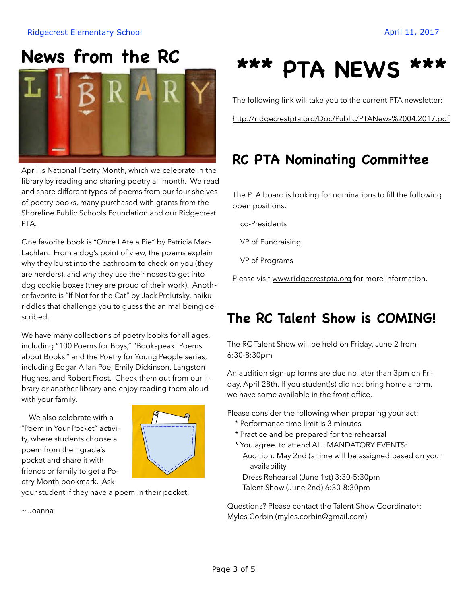#### Ridgecrest Elementary School **April 11, 2017 April 11, 2017**

## **News from the RC**



April is National Poetry Month, which we celebrate in the library by reading and sharing poetry all month. We read and share different types of poems from our four shelves of poetry books, many purchased with grants from the Shoreline Public Schools Foundation and our Ridgecrest PTA.

One favorite book is "Once I Ate a Pie" by Patricia Mac-Lachlan. From a dog's point of view, the poems explain why they burst into the bathroom to check on you (they are herders), and why they use their noses to get into dog cookie boxes (they are proud of their work). Another favorite is "If Not for the Cat" by Jack Prelutsky, haiku riddles that challenge you to guess the animal being described.

We have many collections of poetry books for all ages, including "100 Poems for Boys," "Bookspeak! Poems about Books," and the Poetry for Young People series, including Edgar Allan Poe, Emily Dickinson, Langston Hughes, and Robert Frost. Check them out from our library or another library and enjoy reading them aloud with your family.

 We also celebrate with a "Poem in Your Pocket" activity, where students choose a poem from their grade's pocket and share it with friends or family to get a Poetry Month bookmark. Ask



your student if they have a poem in their pocket!

~ Joanna

## **\*\*\* PTA NEWS \*\*\***

The following link will take you to the current PTA newsletter:

<http://ridgecrestpta.org/Doc/Public/PTANews%2004.2017.pdf>

## **RC PTA Nominating Committee**

The PTA board is looking for nominations to fill the following open positions:

co-Presidents

VP of Fundraising

VP of Programs

Please visit [www.ridgecrestpta.org](http://www.ridgecrestpta.org) for more information.

### **The RC Talent Show is COMING!**

The RC Talent Show will be held on Friday, June 2 from 6:30-8:30pm

An audition sign-up forms are due no later than 3pm on Friday, April 28th. If you student(s) did not bring home a form, we have some available in the front office.

Please consider the following when preparing your act:

- \* Performance time limit is 3 minutes
- \* Practice and be prepared for the rehearsal
- \* You agree to attend ALL MANDATORY EVENTS: Audition: May 2nd (a time will be assigned based on your availability

 Dress Rehearsal (June 1st) 3:30-5:30pm Talent Show (June 2nd) 6:30-8:30pm

Questions? Please contact the Talent Show Coordinator: Myles Corbin ([myles.corbin@gmail.com](mailto:myles.corbin@gmail.com))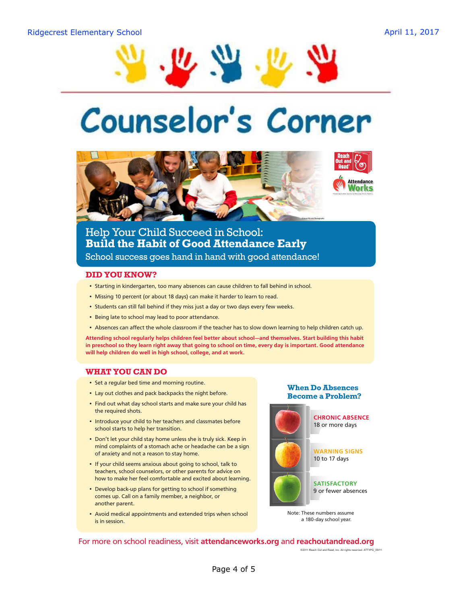

# Counselor's Corner



#### Help Your Child Succeed in School: **Build the Habit of Good Attendance Early** School success goes hand in hand with good attendance!

#### **DID YOU KNOW?**

- Starting in kindergarten, too many absences can cause children to fall behind in school.
- Missing 10 percent (or about 18 days) can make it harder to learn to read.
- Students can still fall behind if they miss just a day or two days every few weeks.
- Being late to school may lead to poor attendance.
- Absences can afect the whole classroom if the teacher has to slow down learning to help children catch up.

**Attending school regularly helps children feel better about school—and themselves. Start building this habit in preschool so they learn right away that going to school on time, every day is important. Good attendance will help children do well in high school, college, and at work.**

#### **WHAT YOU CAN DO**

- Set a regular bed time and morning routine.
- Lay out clothes and pack backpacks the night before.
- Find out what day school starts and make sure your child has the required shots.
- Introduce your child to her teachers and classmates before school starts to help her transition.
- Don't let your child stay home unless she is truly sick. Keep in mind complaints of a stomach ache or headache can be a sign of anxiety and not a reason to stay home.
- If your child seems anxious about going to school, talk to teachers, school counselors, or other parents for advice on how to make her feel comfortable and excited about learning.
- Develop back-up plans for getting to school if something comes up. Call on a family member, a neighbor, or another parent.
- Avoid medical appointments and extended trips when school is in session.

**When Do Absences Become a Problem?**



Note: These numbers assume a 180-day school year.

©2011 Reach Out and Read, Inc. All rights reserved. ATT1PG\_09/11

For more on school readiness, visit **attendanceworks.org** and **reachoutandread.org**